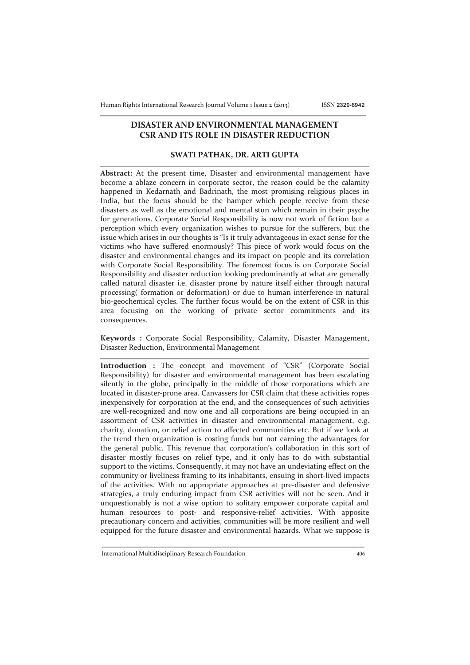## **DISASTER AND ENVIRONMENTAL MANAGEMENT CSR AND ITS ROLE IN DISASTER REDUCTION**

## **SWATI PATHAK, DR. ARTI GUPTA**

**Abstract:** At the present time, Disaster and environmental management have become a ablaze concern in corporate sector, the reason could be the calamity happened in Kedarnath and Badrinath, the most promising religious places in India, but the focus should be the hamper which people receive from these disasters as well as the emotional and mental stun which remain in their psyche for generations. Corporate Social Responsibility is now not work of fiction but a perception which every organization wishes to pursue for the sufferers, but the issue which arises in our thoughts is "Is it truly advantageous in exact sense for the victims who have suffered enormously? This piece of work would focus on the disaster and environmental changes and its impact on people and its correlation with Corporate Social Responsibility. The foremost focus is on Corporate Social Responsibility and disaster reduction looking predominantly at what are generally called natural disaster i.e. disaster prone by nature itself either through natural processing( formation or deformation) or due to human interference in natural bio-geochemical cycles. The further focus would be on the extent of CSR in this area focusing on the working of private sector commitments and its consequences.

**Keywords :** Corporate Social Responsibility, Calamity, Disaster Management, Disaster Reduction, Environmental Management

**Introduction :** The concept and movement of "CSR" (Corporate Social Responsibility) for disaster and environmental management has been escalating silently in the globe, principally in the middle of those corporations which are located in disaster-prone area. Canvassers for CSR claim that these activities ropes inexpensively for corporation at the end, and the consequences of such activities are well-recognized and now one and all corporations are being occupied in an assortment of CSR activities in disaster and environmental management, e.g. charity, donation, or relief action to affected communities etc. But if we look at the trend then organization is costing funds but not earning the advantages for the general public. This revenue that corporation's collaboration in this sort of disaster mostly focuses on relief type, and it only has to do with substantial support to the victims. Consequently, it may not have an undeviating effect on the community or liveliness framing to its inhabitants, ensuing in short-lived impacts of the activities. With no appropriate approaches at pre-disaster and defensive strategies, a truly enduring impact from CSR activities will not be seen. And it unquestionably is not a wise option to solitary empower corporate capital and human resources to post- and responsive-relief activities. With apposite precautionary concern and activities, communities will be more resilient and well equipped for the future disaster and environmental hazards. What we suppose is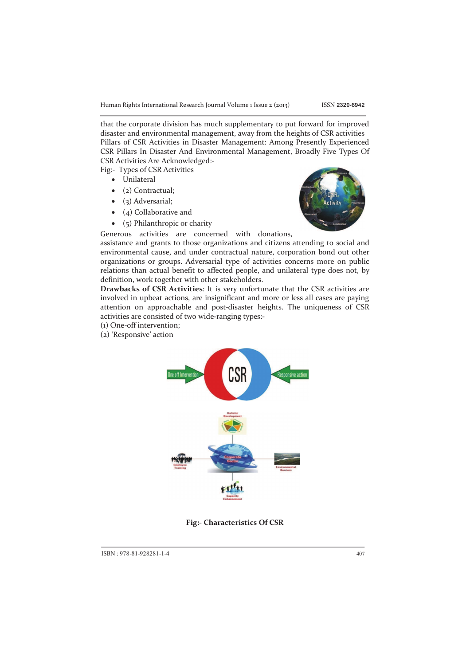Human Rights International Research Journal Volume 1 Issue 2 (2013) ISSN **2320-6942**

that the corporate division has much supplementary to put forward for improved disaster and environmental management, away from the heights of CSR activities Pillars of CSR Activities in Disaster Management: Among Presently Experienced CSR Pillars In Disaster And Environmental Management, Broadly Five Types Of CSR Activities Are Acknowledged:-

Fig:- Types of CSR Activities

- Unilateral
- (2) Contractual;
- (3) Adversarial;
- (4) Collaborative and
- (5) Philanthropic or charity



Generous activities are concerned with donations,

assistance and grants to those organizations and citizens attending to social and environmental cause, and under contractual nature, corporation bond out other organizations or groups. Adversarial type of activities concerns more on public relations than actual benefit to affected people, and unilateral type does not, by definition, work together with other stakeholders.

**Drawbacks of CSR Activities**: It is very unfortunate that the CSR activities are involved in upbeat actions, are insignificant and more or less all cases are paying attention on approachable and post-disaster heights. The uniqueness of CSR activities are consisted of two wide-ranging types:-

- (1) One-off intervention;
- (2) 'Responsive' action



**Fig:- Characteristics Of CSR**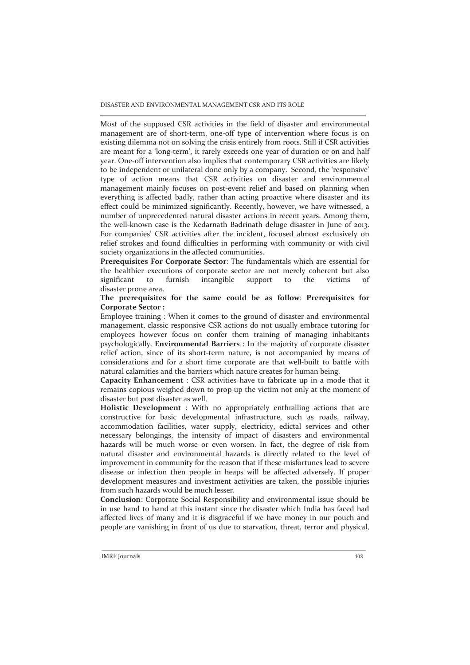DISASTER AND ENVIRONMENTAL MANAGEMENT CSR AND ITS ROLE

Most of the supposed CSR activities in the field of disaster and environmental management are of short-term, one-off type of intervention where focus is on existing dilemma not on solving the crisis entirely from roots. Still if CSR activities are meant for a 'long-term', it rarely exceeds one year of duration or on and half year. One-off intervention also implies that contemporary CSR activities are likely to be independent or unilateral done only by a company. Second, the 'responsive' type of action means that CSR activities on disaster and environmental management mainly focuses on post-event relief and based on planning when everything is affected badly, rather than acting proactive where disaster and its effect could be minimized significantly. Recently, however, we have witnessed, a number of unprecedented natural disaster actions in recent years. Among them, the well-known case is the Kedarnath Badrinath deluge disaster in June of 2013. For companies' CSR activities after the incident, focused almost exclusively on relief strokes and found difficulties in performing with community or with civil society organizations in the affected communities.

**Prerequisites For Corporate Sector**: The fundamentals which are essential for the healthier executions of corporate sector are not merely coherent but also significant to furnish intangible support to the victims of disaster prone area.

**The prerequisites for the same could be as follow**: **Prerequisites for Corporate Sector :** 

Employee training : When it comes to the ground of disaster and environmental management, classic responsive CSR actions do not usually embrace tutoring for employees however focus on confer them training of managing inhabitants psychologically. **Environmental Barriers** : In the majority of corporate disaster relief action, since of its short-term nature, is not accompanied by means of considerations and for a short time corporate are that well-built to battle with natural calamities and the barriers which nature creates for human being.

**Capacity Enhancement** : CSR activities have to fabricate up in a mode that it remains copious weighed down to prop up the victim not only at the moment of disaster but post disaster as well.

**Holistic Development** : With no appropriately enthralling actions that are constructive for basic developmental infrastructure, such as roads, railway, accommodation facilities, water supply, electricity, edictal services and other necessary belongings, the intensity of impact of disasters and environmental hazards will be much worse or even worsen. In fact, the degree of risk from natural disaster and environmental hazards is directly related to the level of improvement in community for the reason that if these misfortunes lead to severe disease or infection then people in heaps will be affected adversely. If proper development measures and investment activities are taken, the possible injuries from such hazards would be much lesser.

**Conclusion**: Corporate Social Responsibility and environmental issue should be in use hand to hand at this instant since the disaster which India has faced had affected lives of many and it is disgraceful if we have money in our pouch and people are vanishing in front of us due to starvation, threat, terror and physical,